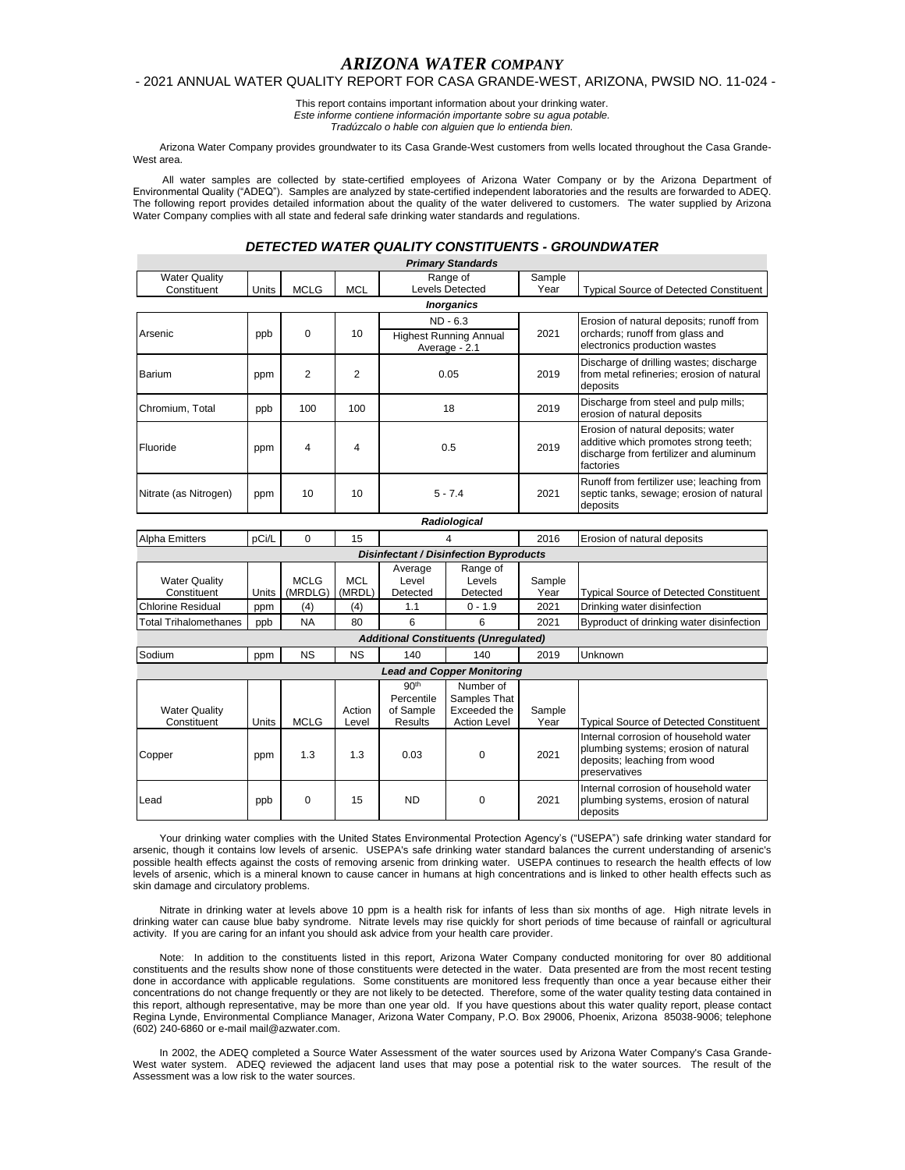# *ARIZONA WATER COMPANY*

### - 2021 ANNUAL WATER QUALITY REPORT FOR CASA GRANDE-WEST, ARIZONA, PWSID NO. 11-024 -

This report contains important information about your drinking water. *Este informe contiene información importante sobre su agua potable. Tradúzcalo o hable con alguien que lo entienda bien.*

Arizona Water Company provides groundwater to its Casa Grande-West customers from wells located throughout the Casa Grande-West area.

All water samples are collected by state-certified employees of Arizona Water Company or by the Arizona Department of Environmental Quality ("ADEQ"). Samples are analyzed by state-certified independent laboratories and the results are forwarded to ADEQ. The following report provides detailed information about the quality of the water delivered to customers. The water supplied by Arizona Water Company complies with all state and federal safe drinking water standards and regulations.

# *DETECTED WATER QUALITY CONSTITUENTS - GROUNDWATER*

|                                         |       |                |                 |                                                               | <b>Primary Standards</b>                                         |                |                                                                                                                                    |
|-----------------------------------------|-------|----------------|-----------------|---------------------------------------------------------------|------------------------------------------------------------------|----------------|------------------------------------------------------------------------------------------------------------------------------------|
| <b>Water Quality</b>                    |       |                |                 |                                                               | Range of                                                         | Sample         |                                                                                                                                    |
| Constituent                             | Units | <b>MCLG</b>    | <b>MCL</b>      | Levels Detected                                               |                                                                  | Year           | <b>Typical Source of Detected Constituent</b>                                                                                      |
|                                         |       |                |                 |                                                               | <b>Inorganics</b>                                                |                |                                                                                                                                    |
|                                         |       |                |                 | ND - 6.3                                                      |                                                                  |                | Erosion of natural deposits; runoff from                                                                                           |
| Arsenic                                 | ppb   | 0              | 10              | <b>Highest Running Annual</b>                                 |                                                                  | 2021           | orchards; runoff from glass and                                                                                                    |
|                                         |       |                |                 |                                                               | Average - 2.1                                                    |                | electronics production wastes                                                                                                      |
| Barium                                  | ppm   | 2              | 2               | 0.05                                                          |                                                                  | 2019           | Discharge of drilling wastes; discharge<br>from metal refineries; erosion of natural<br>deposits                                   |
| Chromium, Total                         | ppb   | 100            | 100             | 18                                                            |                                                                  | 2019           | Discharge from steel and pulp mills;<br>erosion of natural deposits                                                                |
| Fluoride                                | ppm   | 4              | 4               | 0.5                                                           |                                                                  | 2019           | Erosion of natural deposits; water<br>additive which promotes strong teeth;<br>discharge from fertilizer and aluminum<br>factories |
| Nitrate (as Nitrogen)                   | ppm   | 10             | 10              | $5 - 7.4$                                                     |                                                                  | 2021           | Runoff from fertilizer use; leaching from<br>septic tanks, sewage; erosion of natural<br>deposits                                  |
|                                         |       |                |                 |                                                               | Radiological                                                     |                |                                                                                                                                    |
| <b>Alpha Emitters</b>                   | pCi/L | 0              | 15              | 4                                                             |                                                                  | 2016           | Erosion of natural deposits                                                                                                        |
|                                         |       |                |                 |                                                               | <b>Disinfectant / Disinfection Byproducts</b>                    |                |                                                                                                                                    |
|                                         |       |                |                 | Average                                                       | Range of                                                         |                |                                                                                                                                    |
| <b>Water Quality</b>                    |       | <b>MCLG</b>    | <b>MCL</b>      | Level                                                         | Levels                                                           | Sample         |                                                                                                                                    |
| Constituent<br><b>Chlorine Residual</b> | Units | (MRDLG)<br>(4) | (MRDL)<br>(4)   | Detected<br>1.1                                               | Detected<br>$0 - 1.9$                                            | Year<br>2021   | <b>Typical Source of Detected Constituent</b><br>Drinking water disinfection                                                       |
|                                         | ppm   | <b>NA</b>      |                 | 6                                                             | 6                                                                | 2021           |                                                                                                                                    |
| <b>Total Trihalomethanes</b>            | ppb   |                | 80              |                                                               |                                                                  |                | Byproduct of drinking water disinfection                                                                                           |
|                                         |       |                |                 |                                                               | <b>Additional Constituents (Unregulated)</b>                     |                |                                                                                                                                    |
| Sodium                                  | ppm   | NS             | <b>NS</b>       | 140                                                           | 140                                                              | 2019           | Unknown                                                                                                                            |
|                                         |       |                |                 |                                                               | <b>Lead and Copper Monitoring</b>                                |                |                                                                                                                                    |
| <b>Water Quality</b><br>Constituent     | Units | <b>MCLG</b>    | Action<br>Level | 90 <sup>th</sup><br>Percentile<br>of Sample<br><b>Results</b> | Number of<br>Samples That<br>Exceeded the<br><b>Action Level</b> | Sample<br>Year | <b>Typical Source of Detected Constituent</b>                                                                                      |
| Copper                                  | ppm   | 1.3            | 1.3             | 0.03                                                          | 0                                                                | 2021           | Internal corrosion of household water<br>plumbing systems; erosion of natural<br>deposits; leaching from wood<br>preservatives     |
| Lead                                    | ppb   | 0              | 15              | <b>ND</b>                                                     | 0                                                                | 2021           | Internal corrosion of household water<br>plumbing systems, erosion of natural                                                      |

Your drinking water complies with the United States Environmental Protection Agency's ("USEPA") safe drinking water standard for arsenic, though it contains low levels of arsenic. USEPA's safe drinking water standard balances the current understanding of arsenic's possible health effects against the costs of removing arsenic from drinking water. USEPA continues to research the health effects of low levels of arsenic, which is a mineral known to cause cancer in humans at high concentrations and is linked to other health effects such as skin damage and circulatory problems.

deposits

Nitrate in drinking water at levels above 10 ppm is a health risk for infants of less than six months of age. High nitrate levels in drinking water can cause blue baby syndrome. Nitrate levels may rise quickly for short periods of time because of rainfall or agricultural activity. If you are caring for an infant you should ask advice from your health care provider.

Note: In addition to the constituents listed in this report, Arizona Water Company conducted monitoring for over 80 additional constituents and the results show none of those constituents were detected in the water. Data presented are from the most recent testing done in accordance with applicable regulations. Some constituents are monitored less frequently than once a year because either their concentrations do not change frequently or they are not likely to be detected. Therefore, some of the water quality testing data contained in this report, although representative, may be more than one year old. If you have questions about this water quality report, please contact Regina Lynde, Environmental Compliance Manager, Arizona Water Company, P.O. Box 29006, Phoenix, Arizona 85038-9006; telephone (602) 240-6860 or e-mail mail@azwater.com.

In 2002, the ADEQ completed a Source Water Assessment of the water sources used by Arizona Water Company's Casa Grande-West water system. ADEQ reviewed the adjacent land uses that may pose a potential risk to the water sources. The result of the Assessment was a low risk to the water sources.